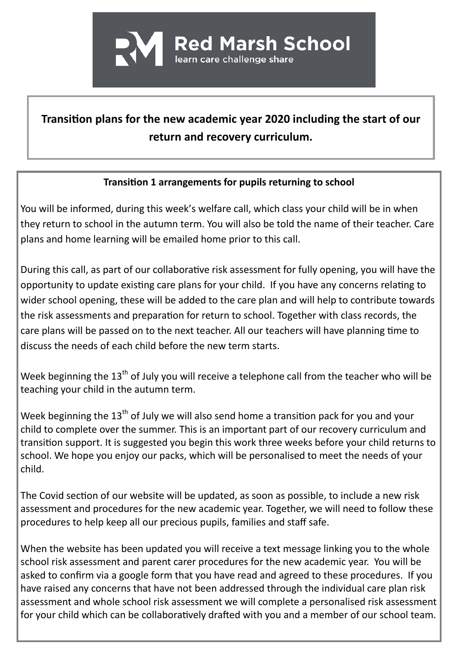

## **Transition plans for the new academic year 2020 including the start of our return and recovery curriculum.**

## **Transition 1 arrangements for pupils returning to school**

You will be informed, during this week's welfare call, which class your child will be in when they return to school in the autumn term. You will also be told the name of their teacher. Care plans and home learning will be emailed home prior to this call.

During this call, as part of our collaborative risk assessment for fully opening, you will have the opportunity to update existing care plans for your child. If you have any concerns relating to wider school opening, these will be added to the care plan and will help to contribute towards the risk assessments and preparation for return to school. Together with class records, the care plans will be passed on to the next teacher. All our teachers will have planning time to discuss the needs of each child before the new term starts.

Week beginning the 13<sup>th</sup> of July you will receive a telephone call from the teacher who will be teaching your child in the autumn term.

Week beginning the  $13<sup>th</sup>$  of July we will also send home a transition pack for you and your child to complete over the summer. This is an important part of our recovery curriculum and transition support. It is suggested you begin this work three weeks before your child returns to school. We hope you enjoy our packs, which will be personalised to meet the needs of your child.

The Covid section of our website will be updated, as soon as possible, to include a new risk assessment and procedures for the new academic year. Together, we will need to follow these procedures to help keep all our precious pupils, families and staff safe.

When the website has been updated you will receive a text message linking you to the whole school risk assessment and parent carer procedures for the new academic year. You will be asked to confirm via a google form that you have read and agreed to these procedures. If you have raised any concerns that have not been addressed through the individual care plan risk assessment and whole school risk assessment we will complete a personalised risk assessment for your child which can be collaboratively drafted with you and a member of our school team.